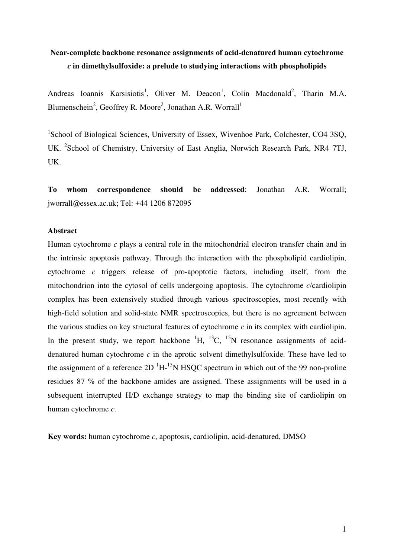# **Near-complete backbone resonance assignments of acid-denatured human cytochrome**  *c* **in dimethylsulfoxide: a prelude to studying interactions with phospholipids**

Andreas Ioannis Karsisiotis<sup>1</sup>, Oliver M. Deacon<sup>1</sup>, Colin Macdonald<sup>2</sup>, Tharin M.A. Blumenschein<sup>2</sup>, Geoffrey R. Moore<sup>2</sup>, Jonathan A.R. Worrall<sup>1</sup>

<sup>1</sup>School of Biological Sciences, University of Essex, Wivenhoe Park, Colchester, CO4 3SQ, UK. <sup>2</sup>School of Chemistry, University of East Anglia, Norwich Research Park, NR4 7TJ, UK.

**To whom correspondence should be addressed**: Jonathan A.R. Worrall; jworrall@essex.ac.uk; Tel: +44 1206 872095

## **Abstract**

Human cytochrome *c* plays a central role in the mitochondrial electron transfer chain and in the intrinsic apoptosis pathway. Through the interaction with the phospholipid cardiolipin, cytochrome *c* triggers release of pro-apoptotic factors, including itself, from the mitochondrion into the cytosol of cells undergoing apoptosis. The cytochrome *c*/cardiolipin complex has been extensively studied through various spectroscopies, most recently with high-field solution and solid-state NMR spectroscopies, but there is no agreement between the various studies on key structural features of cytochrome *c* in its complex with cardiolipin. In the present study, we report backbone  ${}^{1}H$ ,  ${}^{13}C$ ,  ${}^{15}N$  resonance assignments of aciddenatured human cytochrome *c* in the aprotic solvent dimethylsulfoxide. These have led to the assignment of a reference  $2D<sup>1</sup>H<sup>-15</sup>N$  HSQC spectrum in which out of the 99 non-proline residues 87 % of the backbone amides are assigned. These assignments will be used in a subsequent interrupted H/D exchange strategy to map the binding site of cardiolipin on human cytochrome *c*.

**Key words:** human cytochrome *c*, apoptosis, cardiolipin, acid-denatured, DMSO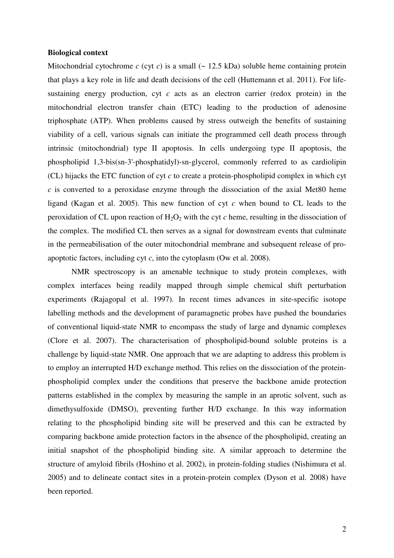#### **Biological context**

Mitochondrial cytochrome  $c$  (cyt  $c$ ) is a small ( $\sim$  12.5 kDa) soluble heme containing protein that plays a key role in life and death decisions of the cell (Huttemann et al. 2011). For lifesustaining energy production, cyt *c* acts as an electron carrier (redox protein) in the mitochondrial electron transfer chain (ETC) leading to the production of adenosine triphosphate (ATP). When problems caused by stress outweigh the benefits of sustaining viability of a cell, various signals can initiate the programmed cell death process through intrinsic (mitochondrial) type II apoptosis. In cells undergoing type II apoptosis, the phospholipid 1,3-bis(sn-3'-phosphatidyl)-sn-glycerol, commonly referred to as cardiolipin (CL) hijacks the ETC function of cyt *c* to create a protein-phospholipid complex in which cyt *c* is converted to a peroxidase enzyme through the dissociation of the axial Met80 heme ligand (Kagan et al. 2005). This new function of cyt *c* when bound to CL leads to the peroxidation of CL upon reaction of  $H_2O_2$  with the cyt *c* heme, resulting in the dissociation of the complex. The modified CL then serves as a signal for downstream events that culminate in the permeabilisation of the outer mitochondrial membrane and subsequent release of proapoptotic factors, including cyt *c*, into the cytoplasm (Ow et al. 2008).

 NMR spectroscopy is an amenable technique to study protein complexes, with complex interfaces being readily mapped through simple chemical shift perturbation experiments (Rajagopal et al. 1997). In recent times advances in site-specific isotope labelling methods and the development of paramagnetic probes have pushed the boundaries of conventional liquid-state NMR to encompass the study of large and dynamic complexes (Clore et al. 2007). The characterisation of phospholipid-bound soluble proteins is a challenge by liquid-state NMR. One approach that we are adapting to address this problem is to employ an interrupted H/D exchange method. This relies on the dissociation of the proteinphospholipid complex under the conditions that preserve the backbone amide protection patterns established in the complex by measuring the sample in an aprotic solvent, such as dimethysulfoxide (DMSO), preventing further H/D exchange. In this way information relating to the phospholipid binding site will be preserved and this can be extracted by comparing backbone amide protection factors in the absence of the phospholipid, creating an initial snapshot of the phospholipid binding site. A similar approach to determine the structure of amyloid fibrils (Hoshino et al. 2002), in protein-folding studies (Nishimura et al. 2005) and to delineate contact sites in a protein-protein complex (Dyson et al. 2008) have been reported.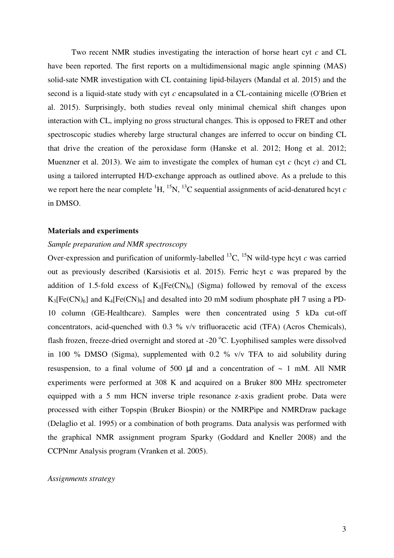Two recent NMR studies investigating the interaction of horse heart cyt *c* and CL have been reported. The first reports on a multidimensional magic angle spinning (MAS) solid-sate NMR investigation with CL containing lipid-bilayers (Mandal et al. 2015) and the second is a liquid-state study with cyt *c* encapsulated in a CL-containing micelle (O'Brien et al. 2015). Surprisingly, both studies reveal only minimal chemical shift changes upon interaction with CL, implying no gross structural changes. This is opposed to FRET and other spectroscopic studies whereby large structural changes are inferred to occur on binding CL that drive the creation of the peroxidase form (Hanske et al. 2012; Hong et al. 2012; Muenzner et al. 2013). We aim to investigate the complex of human cyt  $c$  (hcyt  $c$ ) and CL using a tailored interrupted H/D-exchange approach as outlined above. As a prelude to this we report here the near complete  ${}^{1}H$ ,  ${}^{15}N$ ,  ${}^{13}C$  sequential assignments of acid-denatured hcyt *c* in DMSO.

#### **Materials and experiments**

#### *Sample preparation and NMR spectroscopy*

Over-expression and purification of uniformly-labelled  $^{13}C$ ,  $^{15}N$  wild-type hcyt *c* was carried out as previously described (Karsisiotis et al. 2015). Ferric hcyt c was prepared by the addition of 1.5-fold excess of  $K_3[Fe(CN)_6]$  (Sigma) followed by removal of the excess  $K_3[Fe(CN)_6]$  and  $K_4[Fe(CN)_6]$  and desalted into 20 mM sodium phosphate pH 7 using a PD-10 column (GE-Healthcare). Samples were then concentrated using 5 kDa cut-off concentrators, acid-quenched with 0.3 % v/v trifluoracetic acid (TFA) (Acros Chemicals), flash frozen, freeze-dried overnight and stored at -20  $^{\circ}$ C. Lyophilised samples were dissolved in 100 % DMSO (Sigma), supplemented with 0.2 % v/v TFA to aid solubility during resuspension, to a final volume of 500  $\mu$ l and a concentration of  $\sim$  1 mM. All NMR experiments were performed at 308 K and acquired on a Bruker 800 MHz spectrometer equipped with a 5 mm HCN inverse triple resonance z-axis gradient probe. Data were processed with either Topspin (Bruker Biospin) or the NMRPipe and NMRDraw package (Delaglio et al. 1995) or a combination of both programs. Data analysis was performed with the graphical NMR assignment program Sparky (Goddard and Kneller 2008) and the CCPNmr Analysis program (Vranken et al. 2005).

#### *Assignments strategy*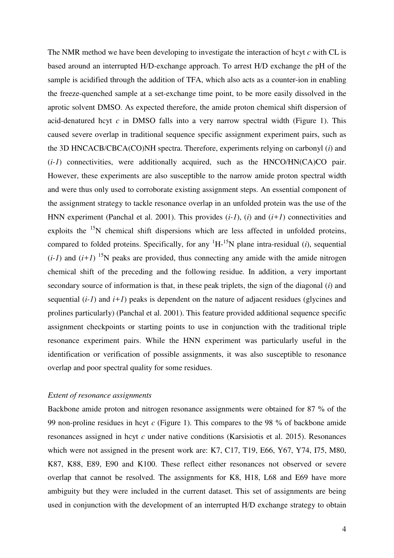The NMR method we have been developing to investigate the interaction of hcyt *c* with CL is based around an interrupted H/D-exchange approach. To arrest H/D exchange the pH of the sample is acidified through the addition of TFA, which also acts as a counter-ion in enabling the freeze-quenched sample at a set-exchange time point, to be more easily dissolved in the aprotic solvent DMSO. As expected therefore, the amide proton chemical shift dispersion of acid-denatured hcyt *c* in DMSO falls into a very narrow spectral width (Figure 1). This caused severe overlap in traditional sequence specific assignment experiment pairs, such as the 3D HNCACB/CBCA(CO)NH spectra. Therefore, experiments relying on carbonyl (*i*) and (*i-1*) connectivities, were additionally acquired, such as the HNCO/HN(CA)CO pair. However, these experiments are also susceptible to the narrow amide proton spectral width and were thus only used to corroborate existing assignment steps. An essential component of the assignment strategy to tackle resonance overlap in an unfolded protein was the use of the HNN experiment (Panchal et al. 2001). This provides (*i-1*), (*i*) and (*i+1*) connectivities and exploits the  $15N$  chemical shift dispersions which are less affected in unfolded proteins, compared to folded proteins. Specifically, for any  ${}^{1}H-{}^{15}N$  plane intra-residual (*i*), sequential  $(i-1)$  and  $(i+1)$  <sup>15</sup>N peaks are provided, thus connecting any amide with the amide nitrogen chemical shift of the preceding and the following residue. In addition, a very important secondary source of information is that, in these peak triplets, the sign of the diagonal (*i*) and sequential  $(i-1)$  and  $i+1$ ) peaks is dependent on the nature of adjacent residues (glycines and prolines particularly) (Panchal et al. 2001). This feature provided additional sequence specific assignment checkpoints or starting points to use in conjunction with the traditional triple resonance experiment pairs. While the HNN experiment was particularly useful in the identification or verification of possible assignments, it was also susceptible to resonance overlap and poor spectral quality for some residues.

# *Extent of resonance assignments*

Backbone amide proton and nitrogen resonance assignments were obtained for 87 % of the 99 non-proline residues in hcyt *c* (Figure 1). This compares to the 98 % of backbone amide resonances assigned in hcyt *c* under native conditions (Karsisiotis et al. 2015). Resonances which were not assigned in the present work are: K7, C17, T19, E66, Y67, Y74, I75, M80, K87, K88, E89, E90 and K100. These reflect either resonances not observed or severe overlap that cannot be resolved. The assignments for K8, H18, L68 and E69 have more ambiguity but they were included in the current dataset. This set of assignments are being used in conjunction with the development of an interrupted H/D exchange strategy to obtain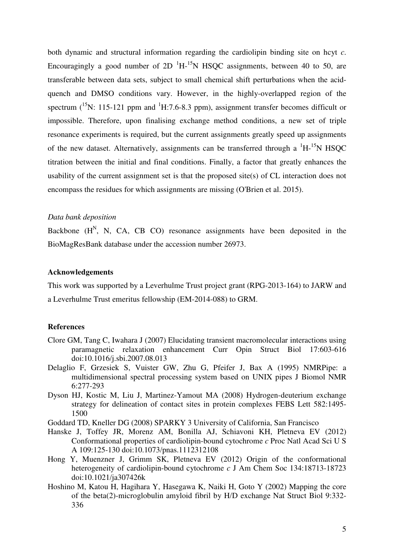both dynamic and structural information regarding the cardiolipin binding site on hcyt *c*. Encouragingly a good number of 2D  $^1$ H-<sup>15</sup>N HSOC assignments, between 40 to 50, are transferable between data sets, subject to small chemical shift perturbations when the acidquench and DMSO conditions vary. However, in the highly-overlapped region of the spectrum  $(^{15}N$ : 115-121 ppm and  $^1H$ :7.6-8.3 ppm), assignment transfer becomes difficult or impossible. Therefore, upon finalising exchange method conditions, a new set of triple resonance experiments is required, but the current assignments greatly speed up assignments of the new dataset. Alternatively, assignments can be transferred through a  $\mathrm{^{1}H_{1}}^{15}N$  HSOC titration between the initial and final conditions. Finally, a factor that greatly enhances the usability of the current assignment set is that the proposed site(s) of CL interaction does not encompass the residues for which assignments are missing (O'Brien et al. 2015).

### *Data bank deposition*

Backbone  $(H^N, N, CA, CB CO)$  resonance assignments have been deposited in the BioMagResBank database under the accession number 26973.

### **Acknowledgements**

This work was supported by a Leverhulme Trust project grant (RPG-2013-164) to JARW and a Leverhulme Trust emeritus fellowship (EM-2014-088) to GRM.

#### **References**

- Clore GM, Tang C, Iwahara J (2007) Elucidating transient macromolecular interactions using paramagnetic relaxation enhancement Curr Opin Struct Biol 17:603-616 doi:10.1016/j.sbi.2007.08.013
- Delaglio F, Grzesiek S, Vuister GW, Zhu G, Pfeifer J, Bax A (1995) NMRPipe: a multidimensional spectral processing system based on UNIX pipes J Biomol NMR 6:277-293
- Dyson HJ, Kostic M, Liu J, Martinez-Yamout MA (2008) Hydrogen-deuterium exchange strategy for delineation of contact sites in protein complexes FEBS Lett 582:1495- 1500
- Goddard TD, Kneller DG (2008) SPARKY 3 University of California, San Francisco
- Hanske J, Toffey JR, Morenz AM, Bonilla AJ, Schiavoni KH, Pletneva EV (2012) Conformational properties of cardiolipin-bound cytochrome *c* Proc Natl Acad Sci U S A 109:125-130 doi:10.1073/pnas.1112312108
- Hong Y, Muenzner J, Grimm SK, Pletneva EV (2012) Origin of the conformational heterogeneity of cardiolipin-bound cytochrome *c* J Am Chem Soc 134:18713-18723 doi:10.1021/ja307426k
- Hoshino M, Katou H, Hagihara Y, Hasegawa K, Naiki H, Goto Y (2002) Mapping the core of the beta(2)-microglobulin amyloid fibril by H/D exchange Nat Struct Biol 9:332- 336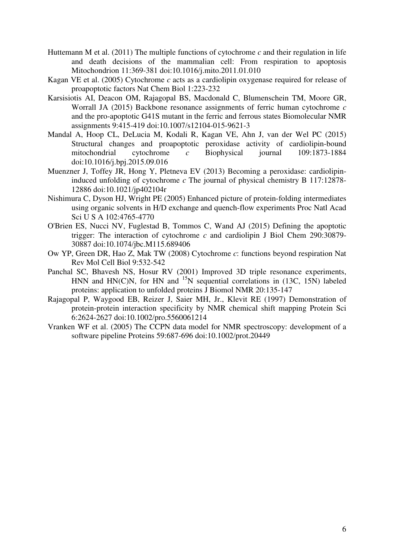- Huttemann M et al. (2011) The multiple functions of cytochrome *c* and their regulation in life and death decisions of the mammalian cell: From respiration to apoptosis Mitochondrion 11:369-381 doi:10.1016/j.mito.2011.01.010
- Kagan VE et al. (2005) Cytochrome *c* acts as a cardiolipin oxygenase required for release of proapoptotic factors Nat Chem Biol 1:223-232
- Karsisiotis AI, Deacon OM, Rajagopal BS, Macdonald C, Blumenschein TM, Moore GR, Worrall JA (2015) Backbone resonance assignments of ferric human cytochrome *c* and the pro-apoptotic G41S mutant in the ferric and ferrous states Biomolecular NMR assignments 9:415-419 doi:10.1007/s12104-015-9621-3
- Mandal A, Hoop CL, DeLucia M, Kodali R, Kagan VE, Ahn J, van der Wel PC (2015) Structural changes and proapoptotic peroxidase activity of cardiolipin-bound mitochondrial cytochrome *c* Biophysical journal 109:1873-1884 doi:10.1016/j.bpj.2015.09.016
- Muenzner J, Toffey JR, Hong Y, Pletneva EV (2013) Becoming a peroxidase: cardiolipininduced unfolding of cytochrome *c* The journal of physical chemistry B 117:12878- 12886 doi:10.1021/jp402104r
- Nishimura C, Dyson HJ, Wright PE (2005) Enhanced picture of protein-folding intermediates using organic solvents in H/D exchange and quench-flow experiments Proc Natl Acad Sci U S A 102:4765-4770
- O'Brien ES, Nucci NV, Fuglestad B, Tommos C, Wand AJ (2015) Defining the apoptotic trigger: The interaction of cytochrome *c* and cardiolipin J Biol Chem 290:30879- 30887 doi:10.1074/jbc.M115.689406
- Ow YP, Green DR, Hao Z, Mak TW (2008) Cytochrome *c*: functions beyond respiration Nat Rev Mol Cell Biol 9:532-542
- Panchal SC, Bhavesh NS, Hosur RV (2001) Improved 3D triple resonance experiments, HNN and HN(C)N, for HN and  $^{15}N$  sequential correlations in (13C, 15N) labeled proteins: application to unfolded proteins J Biomol NMR 20:135-147
- Rajagopal P, Waygood EB, Reizer J, Saier MH, Jr., Klevit RE (1997) Demonstration of protein-protein interaction specificity by NMR chemical shift mapping Protein Sci 6:2624-2627 doi:10.1002/pro.5560061214
- Vranken WF et al. (2005) The CCPN data model for NMR spectroscopy: development of a software pipeline Proteins 59:687-696 doi:10.1002/prot.20449